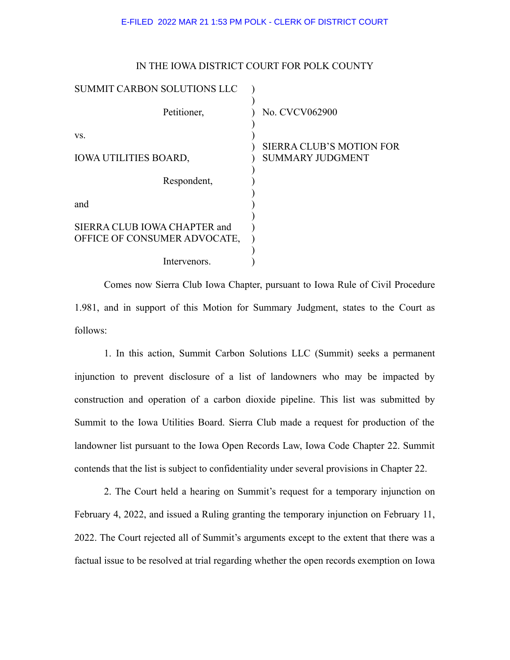## E-FILED 2022 MAR 21 1:53 PM POLK - CLERK OF DISTRICT COURT

IN THE IOWA DISTRICT COURT FOR POLK COUNTY

| IN THE IOWA DISTRICT COURT FOR FOEK COUNT I |                                                            |
|---------------------------------------------|------------------------------------------------------------|
| SUMMIT CARBON SOLUTIONS LLC                 |                                                            |
| Petitioner,                                 | No. CVCV062900                                             |
| VS.                                         |                                                            |
| <b>IOWA UTILITIES BOARD,</b>                | <b>SIERRA CLUB'S MOTION FOR</b><br><b>SUMMARY JUDGMENT</b> |
| Respondent,                                 |                                                            |
| and                                         |                                                            |
| SIERRA CLUB IOWA CHAPTER and                |                                                            |
| OFFICE OF CONSUMER ADVOCATE,                |                                                            |
| Intervenors.                                |                                                            |

Comes now Sierra Club Iowa Chapter, pursuant to Iowa Rule of Civil Procedure 1.981, and in support of this Motion for Summary Judgment, states to the Court as follows:

1. In this action, Summit Carbon Solutions LLC (Summit) seeks a permanent injunction to prevent disclosure of a list of landowners who may be impacted by construction and operation of a carbon dioxide pipeline. This list was submitted by Summit to the Iowa Utilities Board. Sierra Club made a request for production of the landowner list pursuant to the Iowa Open Records Law, Iowa Code Chapter 22. Summit contends that the list is subject to confidentiality under several provisions in Chapter 22.

2. The Court held a hearing on Summit's request for a temporary injunction on February 4, 2022, and issued a Ruling granting the temporary injunction on February 11, 2022. The Court rejected all of Summit's arguments except to the extent that there was a factual issue to be resolved at trial regarding whether the open records exemption on Iowa